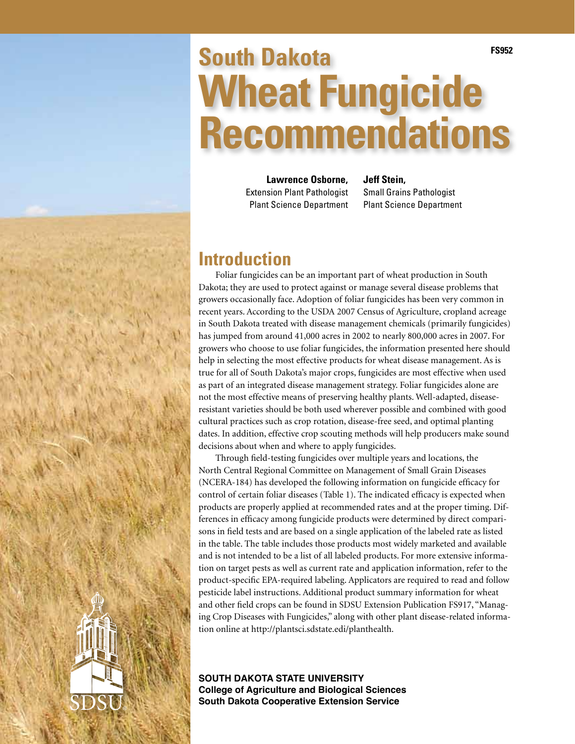# **South Dakota Wheat Fungicide Recommendations FS952**

**Lawrence Osborne,**  Extension Plant Pathologist Plant Science Department

**Jeff Stein,** 

Small Grains Pathologist Plant Science Department

## **Introduction**

Foliar fungicides can be an important part of wheat production in South Dakota; they are used to protect against or manage several disease problems that growers occasionally face. Adoption of foliar fungicides has been very common in recent years. According to the USDA 2007 Census of Agriculture, cropland acreage in South Dakota treated with disease management chemicals (primarily fungicides) has jumped from around 41,000 acres in 2002 to nearly 800,000 acres in 2007. For growers who choose to use foliar fungicides, the information presented here should help in selecting the most effective products for wheat disease management. As is true for all of South Dakota's major crops, fungicides are most effective when used as part of an integrated disease management strategy. Foliar fungicides alone are not the most effective means of preserving healthy plants. Well-adapted, diseaseresistant varieties should be both used wherever possible and combined with good cultural practices such as crop rotation, disease-free seed, and optimal planting dates. In addition, effective crop scouting methods will help producers make sound decisions about when and where to apply fungicides.

Through field-testing fungicides over multiple years and locations, the North Central Regional Committee on Management of Small Grain Diseases (NCERA-184) has developed the following information on fungicide efficacy for control of certain foliar diseases (Table 1). The indicated efficacy is expected when products are properly applied at recommended rates and at the proper timing. Differences in efficacy among fungicide products were determined by direct comparisons in field tests and are based on a single application of the labeled rate as listed in the table. The table includes those products most widely marketed and available and is not intended to be a list of all labeled products. For more extensive information on target pests as well as current rate and application information, refer to the product-specific EPA-required labeling. Applicators are required to read and follow pesticide label instructions. Additional product summary information for wheat and other field crops can be found in SDSU Extension Publication FS917, "Managing Crop Diseases with Fungicides," along with other plant disease-related information online at http://plantsci.sdstate.edi/planthealth.

**South Dakota State University College of Agriculture and Biological Sciences South Dakota Cooperative Extension Service** 

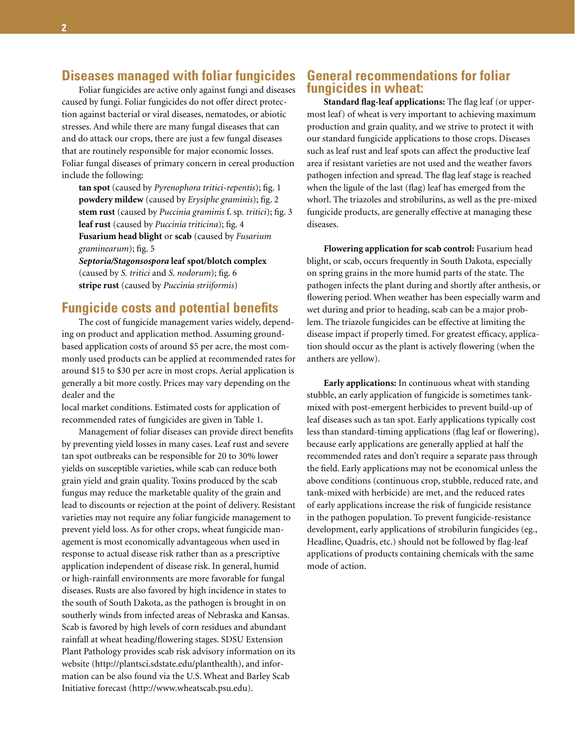### **Diseases managed with foliar fungicides**

Foliar fungicides are active only against fungi and diseases caused by fungi. Foliar fungicides do not offer direct protection against bacterial or viral diseases, nematodes, or abiotic stresses. And while there are many fungal diseases that can and do attack our crops, there are just a few fungal diseases that are routinely responsible for major economic losses. Foliar fungal diseases of primary concern in cereal production include the following:

**tan spot** (caused by *Pyrenophora tritici-repentis*); fig. 1 **powdery mildew** (caused by *Erysiphe graminis*); fig. 2 **stem rust** (caused by *Puccinia graminis* f. sp. *tritici*); fig. 3 **leaf rust** (caused by *Puccinia triticina*); fig. 4 **Fusarium head blight** or **scab** (caused by *Fusarium graminearum*); fig. 5

*Septoria/Stagonsospora* **leaf spot/blotch complex** (caused by *S. tritici* and *S. nodorum*); fig. 6 **stripe rust** (caused by *Puccinia striiformis*)

#### **Fungicide costs and potential benefits**

The cost of fungicide management varies widely, depending on product and application method. Assuming groundbased application costs of around \$5 per acre, the most commonly used products can be applied at recommended rates for around \$15 to \$30 per acre in most crops. Aerial application is generally a bit more costly. Prices may vary depending on the dealer and the

local market conditions. Estimated costs for application of recommended rates of fungicides are given in Table 1.

Management of foliar diseases can provide direct benefits by preventing yield losses in many cases. Leaf rust and severe tan spot outbreaks can be responsible for 20 to 30% lower yields on susceptible varieties, while scab can reduce both grain yield and grain quality. Toxins produced by the scab fungus may reduce the marketable quality of the grain and lead to discounts or rejection at the point of delivery. Resistant varieties may not require any foliar fungicide management to prevent yield loss. As for other crops, wheat fungicide management is most economically advantageous when used in response to actual disease risk rather than as a prescriptive application independent of disease risk. In general, humid or high-rainfall environments are more favorable for fungal diseases. Rusts are also favored by high incidence in states to the south of South Dakota, as the pathogen is brought in on southerly winds from infected areas of Nebraska and Kansas. Scab is favored by high levels of corn residues and abundant rainfall at wheat heading/flowering stages. SDSU Extension Plant Pathology provides scab risk advisory information on its website (http://plantsci.sdstate.edu/planthealth), and information can be also found via the U.S. Wheat and Barley Scab Initiative forecast (http://www.wheatscab.psu.edu).

#### **General recommendations for foliar fungicides in wheat:**

**Standard flag-leaf applications:** The flag leaf (or uppermost leaf) of wheat is very important to achieving maximum production and grain quality, and we strive to protect it with our standard fungicide applications to those crops. Diseases such as leaf rust and leaf spots can affect the productive leaf area if resistant varieties are not used and the weather favors pathogen infection and spread. The flag leaf stage is reached when the ligule of the last (flag) leaf has emerged from the whorl. The triazoles and strobilurins, as well as the pre-mixed fungicide products, are generally effective at managing these diseases.

**Flowering application for scab control:** Fusarium head blight, or scab, occurs frequently in South Dakota, especially on spring grains in the more humid parts of the state. The pathogen infects the plant during and shortly after anthesis, or flowering period. When weather has been especially warm and wet during and prior to heading, scab can be a major problem. The triazole fungicides can be effective at limiting the disease impact if properly timed. For greatest efficacy, application should occur as the plant is actively flowering (when the anthers are yellow).

**Early applications:** In continuous wheat with standing stubble, an early application of fungicide is sometimes tankmixed with post-emergent herbicides to prevent build-up of leaf diseases such as tan spot. Early applications typically cost less than standard-timing applications (flag leaf or flowering), because early applications are generally applied at half the recommended rates and don't require a separate pass through the field. Early applications may not be economical unless the above conditions (continuous crop, stubble, reduced rate, and tank-mixed with herbicide) are met, and the reduced rates of early applications increase the risk of fungicide resistance in the pathogen population. To prevent fungicide-resistance development, early applications of strobilurin fungicides (eg., Headline, Quadris, etc.) should not be followed by flag-leaf applications of products containing chemicals with the same mode of action.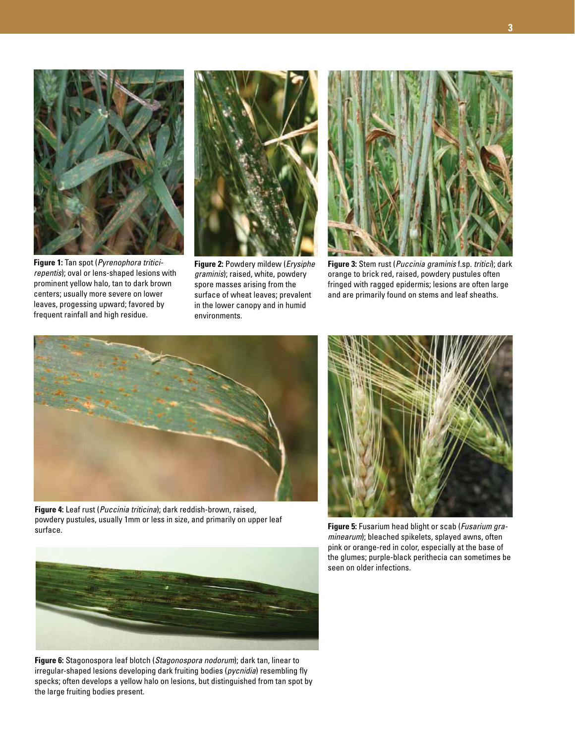

**Figure 1:** Tan spot (*Pyrenophora triticirepentis*); oval or lens-shaped lesions with prominent yellow halo, tan to dark brown centers; usually more severe on lower leaves, progessing upward; favored by frequent rainfall and high residue.



**Figure 2:** Powdery mildew (*Erysiphe graminis*); raised, white, powdery spore masses arising from the surface of wheat leaves; prevalent in the lower canopy and in humid environments.



**Figure 3:** Stem rust (*Puccinia graminis* f.sp. *tritici*); dark orange to brick red, raised, powdery pustules often fringed with ragged epidermis; lesions are often large and are primarily found on stems and leaf sheaths.



**Figure 4:** Leaf rust (*Puccinia triticina*); dark reddish-brown, raised, powdery pustules, usually 1mm or less in size, and primarily on upper leaf surface. **Figure 5:** Fusarium head blight or scab (*Fusarium gra-*



*minearum*); bleached spikelets, splayed awns, often pink or orange-red in color, especially at the base of the glumes; purple-black perithecia can sometimes be seen on older infections.



**Figure 6:** Stagonospora leaf blotch (*Stagonospora nodorum*); dark tan, linear to irregular-shaped lesions developing dark fruiting bodies (*pycnidia*) resembling fly specks; often develops a yellow halo on lesions, but distinguished from tan spot by the large fruiting bodies present.